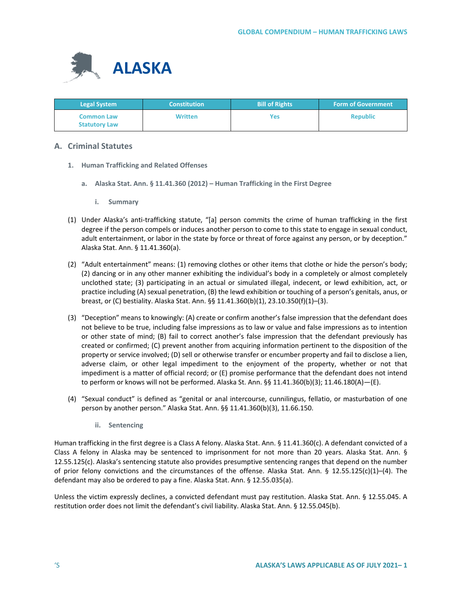

| <b>Legal System</b>                       | <b>Constitution</b> | <b>Bill of Rights</b> | <b>Form of Government</b> |
|-------------------------------------------|---------------------|-----------------------|---------------------------|
| <b>Common Law</b><br><b>Statutory Law</b> | <b>Written</b>      | Yes                   | <b>Republic</b>           |

# **A. Criminal Statutes**

- **1. Human Trafficking and Related Offenses**
	- **a. Alaska Stat. Ann. § 11.41.360 (2012) – Human Trafficking in the First Degree**
		- **i. Summary**
- (1) Under Alaska's anti-trafficking statute, "[a] person commits the crime of human trafficking in the first degree if the person compels or induces another person to come to this state to engage in sexual conduct, adult entertainment, or labor in the state by force or threat of force against any person, or by deception." Alaska Stat. Ann. § 11.41.360(a).
- (2) "Adult entertainment" means: (1) removing clothes or other items that clothe or hide the person's body; (2) dancing or in any other manner exhibiting the individual's body in a completely or almost completely unclothed state; (3) participating in an actual or simulated illegal, indecent, or lewd exhibition, act, or practice including (A) sexual penetration, (B) the lewd exhibition or touching of a person's genitals, anus, or breast, or (C) bestiality. Alaska Stat. Ann. §§ 11.41.360(b)(1), 23.10.350(f)(1)–(3).
- (3) "Deception" means to knowingly: (A) create or confirm another's false impression that the defendant does not believe to be true, including false impressions as to law or value and false impressions as to intention or other state of mind; (B) fail to correct another's false impression that the defendant previously has created or confirmed; (C) prevent another from acquiring information pertinent to the disposition of the property or service involved; (D) sell or otherwise transfer or encumber property and fail to disclose a lien, adverse claim, or other legal impediment to the enjoyment of the property, whether or not that impediment is a matter of official record; or (E) promise performance that the defendant does not intend to perform or knows will not be performed. Alaska St. Ann. §§ 11.41.360(b)(3); 11.46.180(A)—(E).
- (4) "Sexual conduct" is defined as "genital or anal intercourse, cunnilingus, fellatio, or masturbation of one person by another person." Alaska Stat. Ann. §§ 11.41.360(b)(3), 11.66.150.
	- **ii. Sentencing**

Human trafficking in the first degree is a Class A felony. Alaska Stat. Ann. § 11.41.360(c). A defendant convicted of a Class A felony in Alaska may be sentenced to imprisonment for not more than 20 years. Alaska Stat. Ann. § 12.55.125(c). Alaska's sentencing statute also provides presumptive sentencing ranges that depend on the number of prior felony convictions and the circumstances of the offense. Alaska Stat. Ann. § 12.55.125(c)(1)–(4). The defendant may also be ordered to pay a fine. Alaska Stat. Ann. § 12.55.035(a).

Unless the victim expressly declines, a convicted defendant must pay restitution. Alaska Stat. Ann. § 12.55.045. A restitution order does not limit the defendant's civil liability. Alaska Stat. Ann. § 12.55.045(b).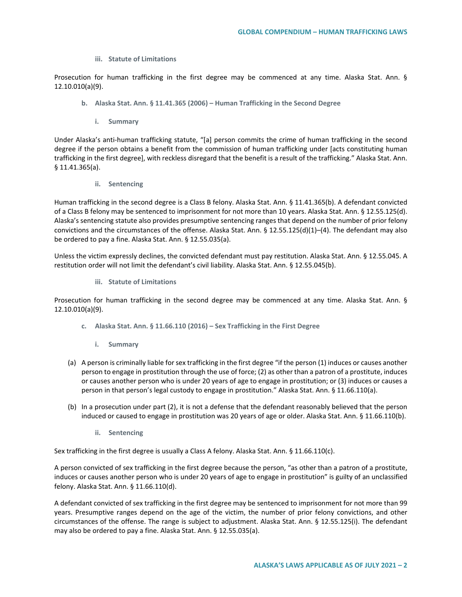**iii. Statute of Limitations**

Prosecution for human trafficking in the first degree may be commenced at any time. Alaska Stat. Ann. § 12.10.010(a)(9).

- **b. Alaska Stat. Ann. § 11.41.365 (2006) – Human Trafficking in the Second Degree**
	- **i. Summary**

Under Alaska's anti-human trafficking statute, "[a] person commits the crime of human trafficking in the second degree if the person obtains a benefit from the commission of human trafficking under [acts constituting human trafficking in the first degree], with reckless disregard that the benefit is a result of the trafficking." Alaska Stat. Ann. § 11.41.365(a).

**ii. Sentencing**

Human trafficking in the second degree is a Class B felony. Alaska Stat. Ann. § 11.41.365(b). A defendant convicted of a Class B felony may be sentenced to imprisonment for not more than 10 years. Alaska Stat. Ann. § 12.55.125(d). Alaska's sentencing statute also provides presumptive sentencing ranges that depend on the number of prior felony convictions and the circumstances of the offense. Alaska Stat. Ann. § 12.55.125(d)(1)–(4). The defendant may also be ordered to pay a fine. Alaska Stat. Ann. § 12.55.035(a).

Unless the victim expressly declines, the convicted defendant must pay restitution. Alaska Stat. Ann. § 12.55.045. A restitution order will not limit the defendant's civil liability. Alaska Stat. Ann. § 12.55.045(b).

**iii. Statute of Limitations**

Prosecution for human trafficking in the second degree may be commenced at any time. Alaska Stat. Ann. § 12.10.010(a)(9).

- **c. Alaska Stat. Ann. § 11.66.110 (2016) – Sex Trafficking in the First Degree**
	- **i. Summary**
- (a) A person is criminally liable for sex trafficking in the first degree "if the person (1) induces or causes another person to engage in prostitution through the use of force; (2) as other than a patron of a prostitute, induces or causes another person who is under 20 years of age to engage in prostitution; or (3) induces or causes a person in that person's legal custody to engage in prostitution." Alaska Stat. Ann. § 11.66.110(a).
- (b) In a prosecution under part (2), it is not a defense that the defendant reasonably believed that the person induced or caused to engage in prostitution was 20 years of age or older. Alaska Stat. Ann. § 11.66.110(b).
	- **ii. Sentencing**

Sex trafficking in the first degree is usually a Class A felony. Alaska Stat. Ann. § 11.66.110(c).

A person convicted of sex trafficking in the first degree because the person, "as other than a patron of a prostitute, induces or causes another person who is under 20 years of age to engage in prostitution" is guilty of an unclassified felony. Alaska Stat. Ann. § 11.66.110(d).

A defendant convicted of sex trafficking in the first degree may be sentenced to imprisonment for not more than 99 years. Presumptive ranges depend on the age of the victim, the number of prior felony convictions, and other circumstances of the offense. The range is subject to adjustment. Alaska Stat. Ann. § 12.55.125(i). The defendant may also be ordered to pay a fine. Alaska Stat. Ann. § 12.55.035(a).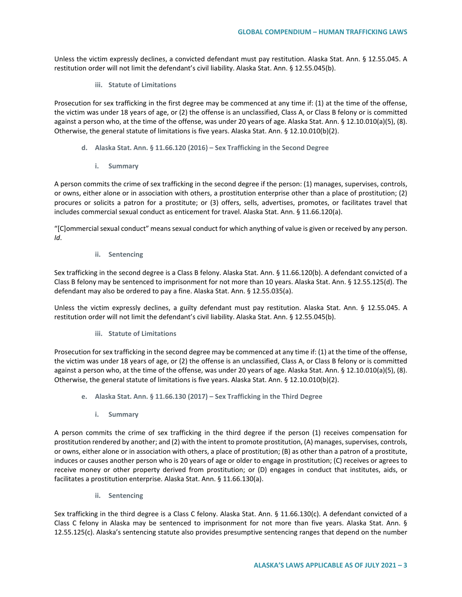Unless the victim expressly declines, a convicted defendant must pay restitution. Alaska Stat. Ann. § 12.55.045. A restitution order will not limit the defendant's civil liability. Alaska Stat. Ann. § 12.55.045(b).

**iii. Statute of Limitations**

Prosecution for sex trafficking in the first degree may be commenced at any time if: (1) at the time of the offense, the victim was under 18 years of age, or (2) the offense is an unclassified, Class A, or Class B felony or is committed against a person who, at the time of the offense, was under 20 years of age. Alaska Stat. Ann. § 12.10.010(a)(5), (8). Otherwise, the general statute of limitations is five years. Alaska Stat. Ann. § 12.10.010(b)(2).

- **d. Alaska Stat. Ann. § 11.66.120 (2016) – Sex Trafficking in the Second Degree**
	- **i. Summary**

A person commits the crime of sex trafficking in the second degree if the person: (1) manages, supervises, controls, or owns, either alone or in association with others, a prostitution enterprise other than a place of prostitution; (2) procures or solicits a patron for a prostitute; or (3) offers, sells, advertises, promotes, or facilitates travel that includes commercial sexual conduct as enticement for travel. Alaska Stat. Ann. § 11.66.120(a).

"[C]ommercial sexual conduct" means sexual conduct for which anything of value is given or received by any person. *Id*.

**ii. Sentencing**

Sex trafficking in the second degree is a Class B felony. Alaska Stat. Ann. § 11.66.120(b). A defendant convicted of a Class B felony may be sentenced to imprisonment for not more than 10 years. Alaska Stat. Ann. § 12.55.125(d). The defendant may also be ordered to pay a fine. Alaska Stat. Ann. § 12.55.035(a).

Unless the victim expressly declines, a guilty defendant must pay restitution. Alaska Stat. Ann. § 12.55.045. A restitution order will not limit the defendant's civil liability. Alaska Stat. Ann. § 12.55.045(b).

**iii. Statute of Limitations**

Prosecution for sex trafficking in the second degree may be commenced at any time if: (1) at the time of the offense, the victim was under 18 years of age, or (2) the offense is an unclassified, Class A, or Class B felony or is committed against a person who, at the time of the offense, was under 20 years of age. Alaska Stat. Ann. § 12.10.010(a)(5), (8). Otherwise, the general statute of limitations is five years. Alaska Stat. Ann. § 12.10.010(b)(2).

- **e. Alaska Stat. Ann. § 11.66.130 (2017) – Sex Trafficking in the Third Degree**
	- **i. Summary**

A person commits the crime of sex trafficking in the third degree if the person (1) receives compensation for prostitution rendered by another; and (2) with the intent to promote prostitution, (A) manages, supervises, controls, or owns, either alone or in association with others, a place of prostitution; (B) as other than a patron of a prostitute, induces or causes another person who is 20 years of age or older to engage in prostitution; (C) receives or agrees to receive money or other property derived from prostitution; or (D) engages in conduct that institutes, aids, or facilitates a prostitution enterprise. Alaska Stat. Ann. § 11.66.130(a).

**ii. Sentencing**

Sex trafficking in the third degree is a Class C felony. Alaska Stat. Ann. § 11.66.130(c). A defendant convicted of a Class C felony in Alaska may be sentenced to imprisonment for not more than five years. Alaska Stat. Ann. § 12.55.125(c). Alaska's sentencing statute also provides presumptive sentencing ranges that depend on the number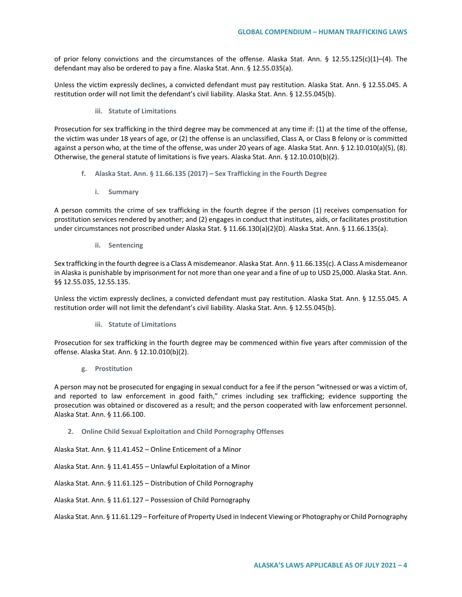of prior felony convictions and the circumstances of the offense. Alaska Stat. Ann. § 12.55.125(c)(1)–(4). The defendant may also be ordered to pay a fine. Alaska Stat. Ann. § 12.55.035(a).

Unless the victim expressly declines, a convicted defendant must pay restitution. Alaska Stat. Ann. § 12.55.045. A restitution order will not limit the defendant's civil liability. Alaska Stat. Ann. § 12.55.045(b).

**iii. Statute of Limitations**

Prosecution for sex trafficking in the third degree may be commenced at any time if: (1) at the time of the offense, the victim was under 18 years of age, or (2) the offense is an unclassified, Class A, or Class B felony or is committed against a person who, at the time of the offense, was under 20 years of age. Alaska Stat. Ann. § 12.10.010(a)(5), (8). Otherwise, the general statute of limitations is five years. Alaska Stat. Ann. § 12.10.010(b)(2).

- **f. Alaska Stat. Ann. § 11.66.135 (2017) – Sex Trafficking in the Fourth Degree**
	- **i. Summary**

A person commits the crime of sex trafficking in the fourth degree if the person (1) receives compensation for prostitution services rendered by another; and (2) engages in conduct that institutes, aids, or facilitates prostitution under circumstances not proscribed under Alaska Stat. § 11.66.130(a)(2)(D). Alaska Stat. Ann. § 11.66.135(a).

**ii. Sentencing**

Sex trafficking in the fourth degree is a Class A misdemeanor. Alaska Stat. Ann. § 11.66.135(c). A Class A misdemeanor in Alaska is punishable by imprisonment for not more than one year and a fine of up to USD 25,000. Alaska Stat. Ann. §§ 12.55.035, 12.55.135.

Unless the victim expressly declines, a convicted defendant must pay restitution. Alaska Stat. Ann. § 12.55.045. A restitution order will not limit the defendant's civil liability. Alaska Stat. Ann. § 12.55.045(b).

**iii. Statute of Limitations**

Prosecution for sex trafficking in the fourth degree may be commenced within five years after commission of the offense. Alaska Stat. Ann. § 12.10.010(b)(2).

**g. Prostitution**

A person may not be prosecuted for engaging in sexual conduct for a fee if the person "witnessed or was a victim of, and reported to law enforcement in good faith," crimes including sex trafficking; evidence supporting the prosecution was obtained or discovered as a result; and the person cooperated with law enforcement personnel. Alaska Stat. Ann. § 11.66.100.

**2. Online Child Sexual Exploitation and Child Pornography Offenses**

Alaska Stat. Ann. § 11.41.452 – Online Enticement of a Minor

Alaska Stat. Ann. § 11.41.455 – Unlawful Exploitation of a Minor

Alaska Stat. Ann. § 11.61.125 – Distribution of Child Pornography

Alaska Stat. Ann. § 11.61.127 – Possession of Child Pornography

Alaska Stat. Ann. § 11.61.129 – Forfeiture of Property Used in Indecent Viewing or Photography or Child Pornography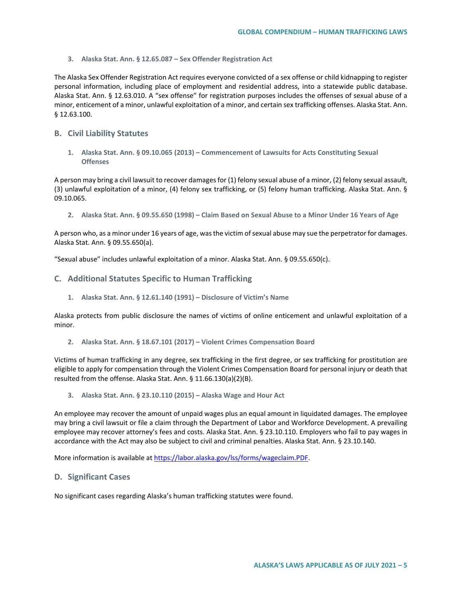**3. Alaska Stat. Ann. § 12.65.087 – Sex Offender Registration Act**

The Alaska Sex Offender Registration Act requires everyone convicted of a sex offense or child kidnapping to register personal information, including place of employment and residential address, into a statewide public database. Alaska Stat. Ann. § 12.63.010. A "sex offense" for registration purposes includes the offenses of sexual abuse of a minor, enticement of a minor, unlawful exploitation of a minor, and certain sex trafficking offenses. Alaska Stat. Ann. § 12.63.100.

# **B. Civil Liability Statutes**

**1. Alaska Stat. Ann. § 09.10.065 (2013) – Commencement of Lawsuits for Acts Constituting Sexual Offenses**

A person may bring a civil lawsuit to recover damages for (1) felony sexual abuse of a minor, (2) felony sexual assault, (3) unlawful exploitation of a minor, (4) felony sex trafficking, or (5) felony human trafficking. Alaska Stat. Ann. § 09.10.065.

**2. Alaska Stat. Ann. § 09.55.650 (1998) – Claim Based on Sexual Abuse to a Minor Under 16 Years of Age**

A person who, as a minor under 16 years of age, was the victim of sexual abuse may sue the perpetrator for damages. Alaska Stat. Ann. § 09.55.650(a).

"Sexual abuse" includes unlawful exploitation of a minor. Alaska Stat. Ann. § 09.55.650(c).

### **C. Additional Statutes Specific to Human Trafficking**

**1. Alaska Stat. Ann. § 12.61.140 (1991) – Disclosure of Victim's Name**

Alaska protects from public disclosure the names of victims of online enticement and unlawful exploitation of a minor.

**2. Alaska Stat. Ann. § 18.67.101 (2017) – Violent Crimes Compensation Board**

Victims of human trafficking in any degree, sex trafficking in the first degree, or sex trafficking for prostitution are eligible to apply for compensation through the Violent Crimes Compensation Board for personal injury or death that resulted from the offense. Alaska Stat. Ann. § 11.66.130(a)(2)(B).

**3. Alaska Stat. Ann. § 23.10.110 (2015) – Alaska Wage and Hour Act**

An employee may recover the amount of unpaid wages plus an equal amount in liquidated damages. The employee may bring a civil lawsuit or file a claim through the Department of Labor and Workforce Development. A prevailing employee may recover attorney's fees and costs. Alaska Stat. Ann. § 23.10.110. Employers who fail to pay wages in accordance with the Act may also be subject to civil and criminal penalties. Alaska Stat. Ann. § 23.10.140.

More information is available a[t https://labor.alaska.gov/lss/forms/wageclaim.PDF.](https://labor.alaska.gov/lss/forms/wageclaim.PDF)

### **D. Significant Cases**

No significant cases regarding Alaska's human trafficking statutes were found.